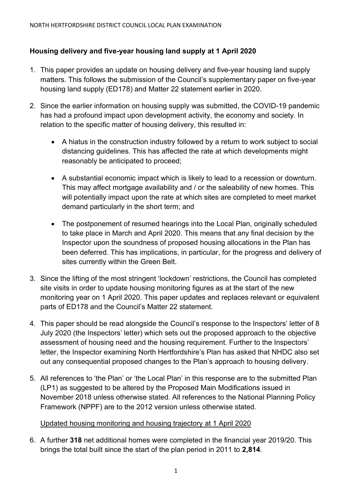# **Housing delivery and five-year housing land supply at 1 April 2020**

- 1. This paper provides an update on housing delivery and five-year housing land supply matters. This follows the submission of the Council's supplementary paper on five-year housing land supply (ED178) and Matter 22 statement earlier in 2020.
- 2. Since the earlier information on housing supply was submitted, the COVID-19 pandemic has had a profound impact upon development activity, the economy and society. In relation to the specific matter of housing delivery, this resulted in:
	- A hiatus in the construction industry followed by a return to work subject to social distancing guidelines. This has affected the rate at which developments might reasonably be anticipated to proceed;
	- A substantial economic impact which is likely to lead to a recession or downturn. This may affect mortgage availability and / or the saleability of new homes. This will potentially impact upon the rate at which sites are completed to meet market demand particularly in the short term; and
	- The postponement of resumed hearings into the Local Plan, originally scheduled to take place in March and April 2020. This means that any final decision by the Inspector upon the soundness of proposed housing allocations in the Plan has been deferred. This has implications, in particular, for the progress and delivery of sites currently within the Green Belt.
- 3. Since the lifting of the most stringent 'lockdown' restrictions, the Council has completed site visits in order to update housing monitoring figures as at the start of the new monitoring year on 1 April 2020. This paper updates and replaces relevant or equivalent parts of ED178 and the Council's Matter 22 statement.
- 4. This paper should be read alongside the Council's response to the Inspectors' letter of 8 July 2020 (the Inspectors' letter) which sets out the proposed approach to the objective assessment of housing need and the housing requirement. Further to the Inspectors' letter, the Inspector examining North Hertfordshire's Plan has asked that NHDC also set out any consequential proposed changes to the Plan's approach to housing delivery.
- 5. All references to 'the Plan' or 'the Local Plan' in this response are to the submitted Plan (LP1) as suggested to be altered by the Proposed Main Modifications issued in November 2018 unless otherwise stated. All references to the National Planning Policy Framework (NPPF) are to the 2012 version unless otherwise stated.

# Updated housing monitoring and housing trajectory at 1 April 2020

6. A further **318** net additional homes were completed in the financial year 2019/20. This brings the total built since the start of the plan period in 2011 to **2,814**.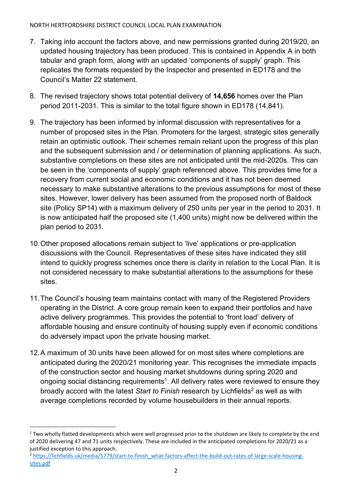- 7. Taking into account the factors above, and new permissions granted during 2019/20, an updated housing trajectory has been produced. This is contained in Appendix A in both tabular and graph form, along with an updated 'components of supply' graph. This replicates the formats requested by the Inspector and presented in ED178 and the Council's Matter 22 statement.
- 8. The revised trajectory shows total potential delivery of **14,656** homes over the Plan period 2011-2031. This is similar to the total figure shown in ED178 (14,841).
- 9. The trajectory has been informed by informal discussion with representatives for a number of proposed sites in the Plan. Promoters for the largest, strategic sites generally retain an optimistic outlook. Their schemes remain reliant upon the progress of this plan and the subsequent submission and / or determination of planning applications. As such, substantive completions on these sites are not anticipated until the mid-2020s. This can be seen in the 'components of supply' graph referenced above. This provides time for a recovery from current social and economic conditions and it has not been deemed necessary to make substantive alterations to the previous assumptions for most of these sites. However, lower delivery has been assumed from the proposed north of Baldock site (Policy SP14) with a maximum delivery of 250 units per year in the period to 2031. It is now anticipated half the proposed site (1,400 units) might now be delivered within the plan period to 2031.
- 10.Other proposed allocations remain subject to 'live' applications or pre-application discussions with the Council. Representatives of these sites have indicated they still intend to quickly progress schemes once there is clarity in relation to the Local Plan. It is not considered necessary to make substantial alterations to the assumptions for these sites.
- 11.The Council's housing team maintains contact with many of the Registered Providers operating in the District. A core group remain keen to expand their portfolios and have active delivery programmes. This provides the potential to 'front load' delivery of affordable housing and ensure continuity of housing supply even if economic conditions do adversely impact upon the private housing market.
- 12.A maximum of 30 units have been allowed for on most sites where completions are anticipated during the 2020/21 monitoring year. This recognises the immediate impacts of the construction sector and housing market shutdowns during spring 2020 and ongoing social distancing requirements $^1$ . All delivery rates were reviewed to ensure they broadly accord with the latest *Start to Finish* research by Lichfields<sup>2</sup> as well as with average completions recorded by volume housebuilders in their annual reports.

 $1$  Two wholly flatted developments which were well progressed prior to the shutdown are likely to complete by the end of 2020 delivering 47 and 71 units respectively. These are included in the anticipated completions for 2020/21 as a justified exception to this approach.

<sup>&</sup>lt;sup>2</sup> [https://lichfields.uk/media/5779/start-to-finish\\_what-factors-affect-the-build-out-rates-of-large-scale-housing](https://lichfields.uk/media/5779/start-to-finish_what-factors-affect-the-build-out-rates-of-large-scale-housing-sites.pdf)[sites.pdf](https://lichfields.uk/media/5779/start-to-finish_what-factors-affect-the-build-out-rates-of-large-scale-housing-sites.pdf)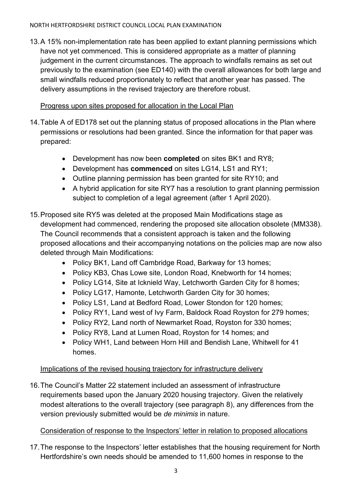13.A 15% non-implementation rate has been applied to extant planning permissions which have not yet commenced. This is considered appropriate as a matter of planning judgement in the current circumstances. The approach to windfalls remains as set out previously to the examination (see ED140) with the overall allowances for both large and small windfalls reduced proportionately to reflect that another year has passed. The delivery assumptions in the revised trajectory are therefore robust.

# Progress upon sites proposed for allocation in the Local Plan

- 14.Table A of ED178 set out the planning status of proposed allocations in the Plan where permissions or resolutions had been granted. Since the information for that paper was prepared:
	- Development has now been **completed** on sites BK1 and RY8;
	- Development has **commenced** on sites LG14, LS1 and RY1;
	- Outline planning permission has been granted for site RY10; and
	- A hybrid application for site RY7 has a resolution to grant planning permission subject to completion of a legal agreement (after 1 April 2020).
- 15.Proposed site RY5 was deleted at the proposed Main Modifications stage as development had commenced, rendering the proposed site allocation obsolete (MM338). The Council recommends that a consistent approach is taken and the following proposed allocations and their accompanying notations on the policies map are now also deleted through Main Modifications:
	- Policy BK1, Land off Cambridge Road, Barkway for 13 homes;
	- Policy KB3, Chas Lowe site, London Road, Knebworth for 14 homes;
	- Policy LG14, Site at Icknield Way, Letchworth Garden City for 8 homes;
	- Policy LG17, Hamonte, Letchworth Garden City for 30 homes;
	- Policy LS1, Land at Bedford Road, Lower Stondon for 120 homes;
	- Policy RY1, Land west of Ivy Farm, Baldock Road Royston for 279 homes;
	- Policy RY2, Land north of Newmarket Road, Royston for 330 homes;
	- Policy RY8, Land at Lumen Road, Royston for 14 homes; and
	- Policy WH1, Land between Horn Hill and Bendish Lane, Whitwell for 41 homes.

# Implications of the revised housing trajectory for infrastructure delivery

16.The Council's Matter 22 statement included an assessment of infrastructure requirements based upon the January 2020 housing trajectory. Given the relatively modest alterations to the overall trajectory (see paragraph 8), any differences from the version previously submitted would be *de minimis* in nature.

# Consideration of response to the Inspectors' letter in relation to proposed allocations

17.The response to the Inspectors' letter establishes that the housing requirement for North Hertfordshire's own needs should be amended to 11,600 homes in response to the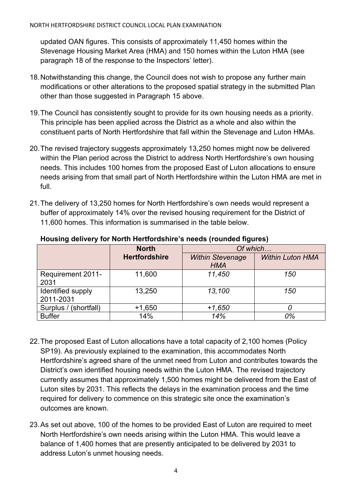updated OAN figures. This consists of approximately 11,450 homes within the Stevenage Housing Market Area (HMA) and 150 homes within the Luton HMA (see paragraph 18 of the response to the Inspectors' letter).

- 18.Notwithstanding this change, the Council does not wish to propose any further main modifications or other alterations to the proposed spatial strategy in the submitted Plan other than those suggested in Paragraph 15 above.
- 19.The Council has consistently sought to provide for its own housing needs as a priority. This principle has been applied across the District as a whole and also within the constituent parts of North Hertfordshire that fall within the Stevenage and Luton HMAs.
- 20.The revised trajectory suggests approximately 13,250 homes might now be delivered within the Plan period across the District to address North Hertfordshire's own housing needs. This includes 100 homes from the proposed East of Luton allocations to ensure needs arising from that small part of North Hertfordshire within the Luton HMA are met in full.
- 21.The delivery of 13,250 homes for North Hertfordshire's own needs would represent a buffer of approximately 14% over the revised housing requirement for the District of 11,600 homes. This information is summarised in the table below.

|                       | <b>North</b>         | Of which                |                         |
|-----------------------|----------------------|-------------------------|-------------------------|
|                       | <b>Hertfordshire</b> | <b>Within Stevenage</b> | <b>Within Luton HMA</b> |
|                       |                      | <b>HMA</b>              |                         |
| Requirement 2011-     | 11,600               | 11,450                  | 150                     |
| 2031                  |                      |                         |                         |
| Identified supply     | 13,250               | 13,100                  | 150                     |
| 2011-2031             |                      |                         |                         |
| Surplus / (shortfall) | $+1,650$             | $+1,650$                |                         |
| <b>Buffer</b>         | 14%                  | 14%                     | 0%                      |

#### **Housing delivery for North Hertfordshire's needs (rounded figures)**

- 22.The proposed East of Luton allocations have a total capacity of 2,100 homes (Policy SP19). As previously explained to the examination, this accommodates North Hertfordshire's agreed share of the unmet need from Luton and contributes towards the District's own identified housing needs within the Luton HMA. The revised trajectory currently assumes that approximately 1,500 homes might be delivered from the East of Luton sites by 2031. This reflects the delays in the examination process and the time required for delivery to commence on this strategic site once the examination's outcomes are known.
- 23.As set out above, 100 of the homes to be provided East of Luton are required to meet North Hertfordshire's own needs arising within the Luton HMA. This would leave a balance of 1,400 homes that are presently anticipated to be delivered by 2031 to address Luton's unmet housing needs.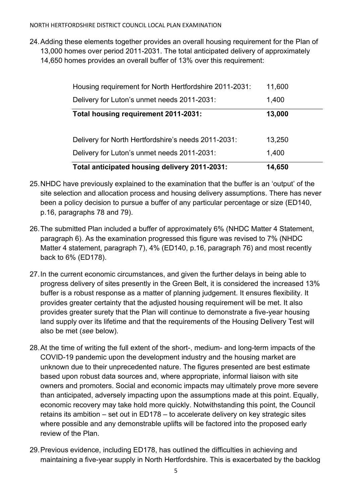24.Adding these elements together provides an overall housing requirement for the Plan of 13,000 homes over period 2011-2031. The total anticipated delivery of approximately 14,650 homes provides an overall buffer of 13% over this requirement:

| Total anticipated housing delivery 2011-2031:          | 14,650 |
|--------------------------------------------------------|--------|
| Delivery for Luton's unmet needs 2011-2031:            | 1,400  |
| Delivery for North Hertfordshire's needs 2011-2031:    | 13,250 |
| Total housing requirement 2011-2031:                   | 13,000 |
| Delivery for Luton's unmet needs 2011-2031:            | 1,400  |
| Housing requirement for North Hertfordshire 2011-2031: | 11,600 |

- 25.NHDC have previously explained to the examination that the buffer is an 'output' of the site selection and allocation process and housing delivery assumptions. There has never been a policy decision to pursue a buffer of any particular percentage or size (ED140, p.16, paragraphs 78 and 79).
- 26.The submitted Plan included a buffer of approximately 6% (NHDC Matter 4 Statement, paragraph 6). As the examination progressed this figure was revised to 7% (NHDC Matter 4 statement, paragraph 7), 4% (ED140, p.16, paragraph 76) and most recently back to 6% (ED178).
- 27.In the current economic circumstances, and given the further delays in being able to progress delivery of sites presently in the Green Belt, it is considered the increased 13% buffer is a robust response as a matter of planning judgement. It ensures flexibility. It provides greater certainty that the adjusted housing requirement will be met. It also provides greater surety that the Plan will continue to demonstrate a five-year housing land supply over its lifetime and that the requirements of the Housing Delivery Test will also be met (*see* below).
- 28.At the time of writing the full extent of the short-, medium- and long-term impacts of the COVID-19 pandemic upon the development industry and the housing market are unknown due to their unprecedented nature. The figures presented are best estimate based upon robust data sources and, where appropriate, informal liaison with site owners and promoters. Social and economic impacts may ultimately prove more severe than anticipated, adversely impacting upon the assumptions made at this point. Equally, economic recovery may take hold more quickly. Notwithstanding this point, the Council retains its ambition – set out in ED178 – to accelerate delivery on key strategic sites where possible and any demonstrable uplifts will be factored into the proposed early review of the Plan.
- 29.Previous evidence, including ED178, has outlined the difficulties in achieving and maintaining a five-year supply in North Hertfordshire. This is exacerbated by the backlog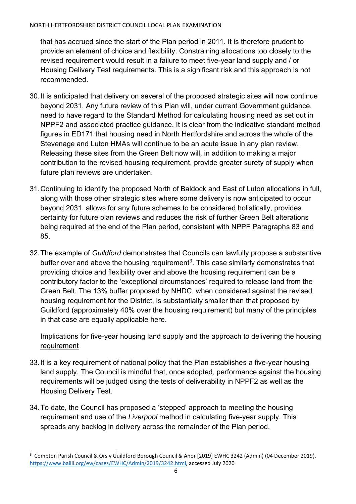that has accrued since the start of the Plan period in 2011. It is therefore prudent to provide an element of choice and flexibility. Constraining allocations too closely to the revised requirement would result in a failure to meet five-year land supply and / or Housing Delivery Test requirements. This is a significant risk and this approach is not recommended.

- 30.It is anticipated that delivery on several of the proposed strategic sites will now continue beyond 2031. Any future review of this Plan will, under current Government guidance, need to have regard to the Standard Method for calculating housing need as set out in NPPF2 and associated practice guidance. It is clear from the indicative standard method figures in ED171 that housing need in North Hertfordshire and across the whole of the Stevenage and Luton HMAs will continue to be an acute issue in any plan review. Releasing these sites from the Green Belt now will, in addition to making a major contribution to the revised housing requirement, provide greater surety of supply when future plan reviews are undertaken.
- 31.Continuing to identify the proposed North of Baldock and East of Luton allocations in full, along with those other strategic sites where some delivery is now anticipated to occur beyond 2031, allows for any future schemes to be considered holistically, provides certainty for future plan reviews and reduces the risk of further Green Belt alterations being required at the end of the Plan period, consistent with NPPF Paragraphs 83 and 85.
- 32.The example of *Guildford* demonstrates that Councils can lawfully propose a substantive buffer over and above the housing requirement<sup>3</sup>. This case similarly demonstrates that providing choice and flexibility over and above the housing requirement can be a contributory factor to the 'exceptional circumstances' required to release land from the Green Belt. The 13% buffer proposed by NHDC, when considered against the revised housing requirement for the District, is substantially smaller than that proposed by Guildford (approximately 40% over the housing requirement) but many of the principles in that case are equally applicable here.

### Implications for five-year housing land supply and the approach to delivering the housing requirement

- 33.It is a key requirement of national policy that the Plan establishes a five-year housing land supply. The Council is mindful that, once adopted, performance against the housing requirements will be judged using the tests of deliverability in NPPF2 as well as the Housing Delivery Test.
- 34.To date, the Council has proposed a 'stepped' approach to meeting the housing requirement and use of the *Liverpool* method in calculating five-year supply. This spreads any backlog in delivery across the remainder of the Plan period.

<sup>&</sup>lt;sup>3</sup> Compton Parish Council & Ors v Guildford Borough Council & Anor [2019] EWHC 3242 (Admin) (04 December 2019), [https://www.bailii.org/ew/cases/EWHC/Admin/2019/3242.html,](https://www.bailii.org/ew/cases/EWHC/Admin/2019/3242.html) accessed July 2020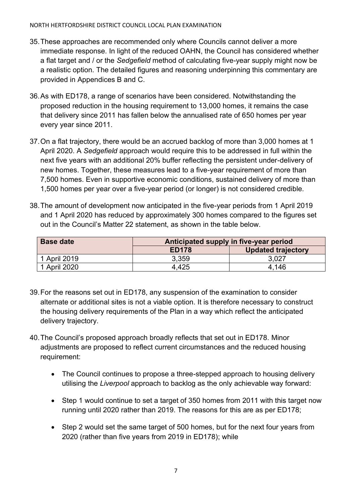- 35.These approaches are recommended only where Councils cannot deliver a more immediate response. In light of the reduced OAHN, the Council has considered whether a flat target and / or the *Sedgefield* method of calculating five-year supply might now be a realistic option. The detailed figures and reasoning underpinning this commentary are provided in Appendices B and C.
- 36.As with ED178, a range of scenarios have been considered. Notwithstanding the proposed reduction in the housing requirement to 13,000 homes, it remains the case that delivery since 2011 has fallen below the annualised rate of 650 homes per year every year since 2011.
- 37.On a flat trajectory, there would be an accrued backlog of more than 3,000 homes at 1 April 2020. A *Sedgefield* approach would require this to be addressed in full within the next five years with an additional 20% buffer reflecting the persistent under-delivery of new homes. Together, these measures lead to a five-year requirement of more than 7,500 homes. Even in supportive economic conditions, sustained delivery of more than 1,500 homes per year over a five-year period (or longer) is not considered credible.
- 38.The amount of development now anticipated in the five-year periods from 1 April 2019 and 1 April 2020 has reduced by approximately 300 homes compared to the figures set out in the Council's Matter 22 statement, as shown in the table below.

| <b>Base date</b> | Anticipated supply in five-year period |                           |  |  |  |  |  |  |  |  |
|------------------|----------------------------------------|---------------------------|--|--|--|--|--|--|--|--|
|                  | <b>ED178</b>                           | <b>Updated trajectory</b> |  |  |  |  |  |  |  |  |
| 1 April 2019     | 3,359                                  | 3,027                     |  |  |  |  |  |  |  |  |
| April 2020       | 4,425                                  | 4.146                     |  |  |  |  |  |  |  |  |

- 39.For the reasons set out in ED178, any suspension of the examination to consider alternate or additional sites is not a viable option. It is therefore necessary to construct the housing delivery requirements of the Plan in a way which reflect the anticipated delivery trajectory.
- 40.The Council's proposed approach broadly reflects that set out in ED178. Minor adjustments are proposed to reflect current circumstances and the reduced housing requirement:
	- The Council continues to propose a three-stepped approach to housing delivery utilising the *Liverpool* approach to backlog as the only achievable way forward:
	- Step 1 would continue to set a target of 350 homes from 2011 with this target now running until 2020 rather than 2019. The reasons for this are as per ED178;
	- Step 2 would set the same target of 500 homes, but for the next four years from 2020 (rather than five years from 2019 in ED178); while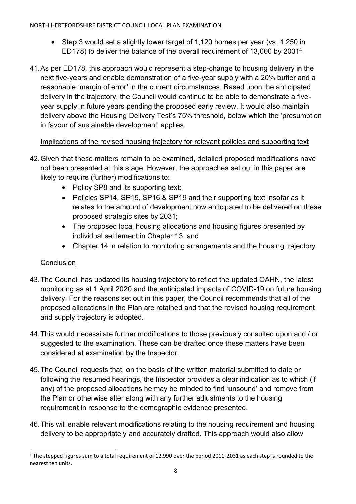- Step 3 would set a slightly lower target of 1,120 homes per year (vs. 1,250 in ED178) to deliver the balance of the overall requirement of 13,000 by 2031<sup>4</sup>.
- 41.As per ED178, this approach would represent a step-change to housing delivery in the next five-years and enable demonstration of a five-year supply with a 20% buffer and a reasonable 'margin of error' in the current circumstances. Based upon the anticipated delivery in the trajectory, the Council would continue to be able to demonstrate a fiveyear supply in future years pending the proposed early review. It would also maintain delivery above the Housing Delivery Test's 75% threshold, below which the 'presumption in favour of sustainable development' applies.

Implications of the revised housing trajectory for relevant policies and supporting text

- 42.Given that these matters remain to be examined, detailed proposed modifications have not been presented at this stage. However, the approaches set out in this paper are likely to require (further) modifications to:
	- Policy SP8 and its supporting text;
	- Policies SP14, SP15, SP16 & SP19 and their supporting text insofar as it relates to the amount of development now anticipated to be delivered on these proposed strategic sites by 2031;
	- The proposed local housing allocations and housing figures presented by individual settlement in Chapter 13; and
	- Chapter 14 in relation to monitoring arrangements and the housing trajectory

# **Conclusion**

- 43.The Council has updated its housing trajectory to reflect the updated OAHN, the latest monitoring as at 1 April 2020 and the anticipated impacts of COVID-19 on future housing delivery. For the reasons set out in this paper, the Council recommends that all of the proposed allocations in the Plan are retained and that the revised housing requirement and supply trajectory is adopted.
- 44.This would necessitate further modifications to those previously consulted upon and / or suggested to the examination. These can be drafted once these matters have been considered at examination by the Inspector.
- 45.The Council requests that, on the basis of the written material submitted to date or following the resumed hearings, the Inspector provides a clear indication as to which (if any) of the proposed allocations he may be minded to find 'unsound' and remove from the Plan or otherwise alter along with any further adjustments to the housing requirement in response to the demographic evidence presented.
- 46.This will enable relevant modifications relating to the housing requirement and housing delivery to be appropriately and accurately drafted. This approach would also allow

<sup>&</sup>lt;sup>4</sup> The stepped figures sum to a total requirement of 12,990 over the period 2011-2031 as each step is rounded to the nearest ten units.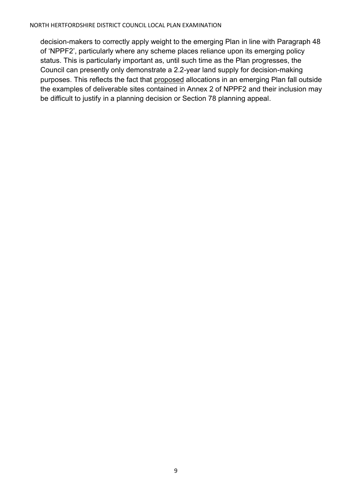decision-makers to correctly apply weight to the emerging Plan in line with Paragraph 48 of 'NPPF2', particularly where any scheme places reliance upon its emerging policy status. This is particularly important as, until such time as the Plan progresses, the Council can presently only demonstrate a 2.2-year land supply for decision-making purposes. This reflects the fact that proposed allocations in an emerging Plan fall outside the examples of deliverable sites contained in Annex 2 of NPPF2 and their inclusion may be difficult to justify in a planning decision or Section 78 planning appeal.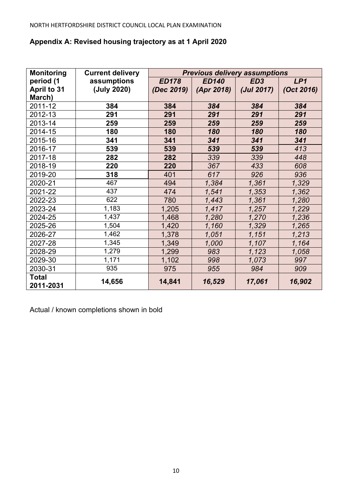### **Appendix A: Revised housing trajectory as at 1 April 2020**

| <b>Monitoring</b>         | <b>Current delivery</b> |              | <b>Previous delivery assumptions</b> |                 |            |  |  |  |  |  |  |  |
|---------------------------|-------------------------|--------------|--------------------------------------|-----------------|------------|--|--|--|--|--|--|--|
| period (1                 | assumptions             | <b>ED178</b> | <b>ED140</b>                         | ED <sub>3</sub> | LP1        |  |  |  |  |  |  |  |
| April to 31               | (July 2020)             | (Dec 2019)   | (Apr 2018)                           | (Jul 2017)      | (Oct 2016) |  |  |  |  |  |  |  |
| March)                    |                         |              |                                      |                 |            |  |  |  |  |  |  |  |
| 2011-12                   | 384                     | 384          | 384                                  | 384             | 384        |  |  |  |  |  |  |  |
| 2012-13                   | 291                     | 291          | 291                                  | 291             | 291        |  |  |  |  |  |  |  |
| 2013-14                   | 259                     | 259          | 259                                  | 259             | 259        |  |  |  |  |  |  |  |
| 2014-15                   | 180                     | 180          | 180                                  | 180             | 180        |  |  |  |  |  |  |  |
| 2015-16                   | 341                     | 341          | 341                                  | 341             | 341        |  |  |  |  |  |  |  |
| 2016-17                   | 539                     | 539          | 539                                  | 539             | 413        |  |  |  |  |  |  |  |
| 2017-18                   | 282                     | 282          | 339                                  | 339             | 448        |  |  |  |  |  |  |  |
| 2018-19                   | 220                     | 220          | 367                                  | 433             | 608        |  |  |  |  |  |  |  |
| 2019-20                   | 318                     | 401          | 617                                  | 926             | 936        |  |  |  |  |  |  |  |
| 2020-21                   | 467                     | 494          | 1,384                                | 1,361           | 1,329      |  |  |  |  |  |  |  |
| 2021-22                   | 437                     | 474          | 1,541                                | 1,353           | 1,362      |  |  |  |  |  |  |  |
| 2022-23                   | 622                     | 780          | 1,443                                | 1,361           | 1,280      |  |  |  |  |  |  |  |
| 2023-24                   | 1,183                   | 1,205        | 1,417                                | 1,257           | 1,229      |  |  |  |  |  |  |  |
| 2024-25                   | 1,437                   | 1,468        | 1,280                                | 1,270           | 1,236      |  |  |  |  |  |  |  |
| 2025-26                   | 1,504                   | 1,420        | 1,160                                | 1,329           | 1,265      |  |  |  |  |  |  |  |
| 2026-27                   | 1,462                   | 1,378        | 1,051                                | 1,151           | 1,213      |  |  |  |  |  |  |  |
| 2027-28                   | 1,345                   | 1,349        | 1,000                                | 1,107           | 1,164      |  |  |  |  |  |  |  |
| 2028-29                   | 1,279                   | 1,299        | 983                                  | 1,123           | 1,058      |  |  |  |  |  |  |  |
| 2029-30                   | 1,171                   | 1,102        | 998                                  | 1,073           | 997        |  |  |  |  |  |  |  |
| 2030-31                   | 935                     | 975          | 955                                  | 984             | 909        |  |  |  |  |  |  |  |
| <b>Total</b><br>2011-2031 | 14,656                  | 14,841       | 16,529                               | 17,061          | 16,902     |  |  |  |  |  |  |  |

Actual / known completions shown in bold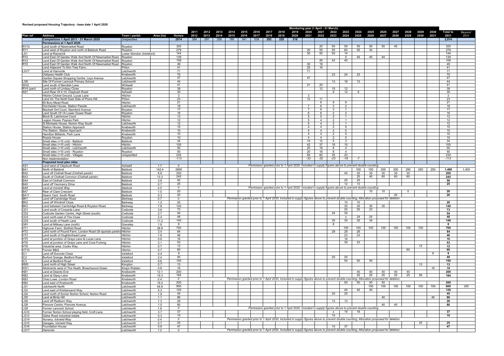#### **Revised proposed Housing Trajectory - base date 1 April 2020**

|                                    |                                                                                                              |                            |             |                                    |             |             |             |                     |             |             |             |             | Monitoring year (1 April - 31 March)                                                                                                    |                                  |                                  |                     |                    |                     |     |                                         |      |      |                 |      |                         |                |
|------------------------------------|--------------------------------------------------------------------------------------------------------------|----------------------------|-------------|------------------------------------|-------------|-------------|-------------|---------------------|-------------|-------------|-------------|-------------|-----------------------------------------------------------------------------------------------------------------------------------------|----------------------------------|----------------------------------|---------------------|--------------------|---------------------|-----|-----------------------------------------|------|------|-----------------|------|-------------------------|----------------|
| Plan ref                           | <b>Address</b>                                                                                               | Town / parish              |             |                                    | 2011        | 2012        |             | 2013 2014 2015 2016 |             |             | 2017        | 2018        | 2019                                                                                                                                    |                                  |                                  |                     |                    |                     |     | 2020 2021 2022 2023 2024 2025 2026 2027 |      | 2028 | 2029            | 2030 | <b>Total to</b><br>2031 | Beyond<br>2031 |
|                                    | Completions 1 April 2011 - 31 March 2020                                                                     | <b>Unspecified</b>         | Area (ha)   | Homes<br>2814                      | 2012<br>384 | 2013<br>291 | 2014<br>259 | 2015<br>180         | 2016<br>341 | 2017<br>539 | 2018<br>282 | 2019<br>220 | 2020<br>318                                                                                                                             | 2021                             | 2022                             | 2023                |                    | 2024 2025 2026 2027 |     |                                         | 2028 | 2029 | 2030            | 2031 | 2,814                   |                |
|                                    | Permissions at 1 April 2020                                                                                  |                            |             |                                    |             |             |             |                     |             |             |             |             |                                                                                                                                         |                                  |                                  |                     |                    |                     |     |                                         |      |      |                 |      |                         |                |
| <b>RY10</b>                        | Land south of Newmarket Road                                                                                 | Royston                    |             | 325                                |             |             |             |                     |             |             |             |             |                                                                                                                                         |                                  | 20                               | 50                  | 55                 | 55                  | 50  | 50                                      | 45   |      |                 |      | 325                     |                |
| RY <sub>1</sub>                    | Land west of Royston and north of Baldock Road                                                               | Rovston                    |             | 279                                |             |             |             |                     |             |             |             |             |                                                                                                                                         | 20                               | 55                               | 55                  | 60                 | 55                  | 34  |                                         |      |      |                 |      | 279                     |                |
| LS1                                | Land at Ramerick                                                                                             | Lower Stondon (Ickleford)  |             | 144                                |             |             |             |                     |             |             |             |             |                                                                                                                                         | 30                               | 50                               | 50                  | 14                 |                     |     |                                         |      |      |                 |      | 144                     |                |
| RY <sub>2</sub>                    | Land East Of Garden Walk And North Of Newmarket Road                                                         | Royston                    |             | 139<br>108                         |             |             |             |                     |             |             |             |             |                                                                                                                                         |                                  |                                  |                     | - 5                | 45                  | 45  | 44                                      |      |      |                 |      | 139                     |                |
| RY <sub>2</sub><br>RY <sub>2</sub> | Land East Of Garden Walk And North Of Newmarket Road<br>Land East Of Garden Walk And North Of Newmarket Road | Royston<br>Royston         |             | 49                                 |             |             |             |                     |             |             |             |             |                                                                                                                                         | 30                               | 26<br>19                         | 42                  | 40                 |                     |     |                                         |      |      |                 |      | 108<br>49               |                |
|                                    | Land Adjacent To Elm Tree Farm.                                                                              | Pirton                     |             | 41                                 |             |             |             |                     |             |             |             |             |                                                                                                                                         | 25                               | 16                               |                     |                    |                     |     |                                         |      |      |                 |      | 41                      |                |
| LG17                               | Land at Hamonte                                                                                              | Letchworth                 |             | 71                                 |             |             |             |                     |             |             |             |             |                                                                                                                                         | 71                               |                                  |                     |                    |                     |     |                                         |      |      |                 |      | 71                      |                |
|                                    | <b>Oddysey Health Club</b>                                                                                   | Knebworth                  |             | 70                                 |             |             |             |                     |             |             |             |             |                                                                                                                                         |                                  |                                  | 23                  | 24                 | 23                  |     |                                         |      |      |                 |      | 70                      |                |
|                                    | Garden Square Shopping Centre, Leys Avenue                                                                   | Letchworth                 |             | 47                                 |             |             |             |                     |             |             |             |             |                                                                                                                                         | 47                               |                                  |                     |                    |                     |     |                                         |      |      |                 |      | 47                      |                |
| LG9                                | Site Of Former Lannock Primary School                                                                        | Letchworth                 |             | 44                                 |             |             |             |                     |             |             |             |             |                                                                                                                                         |                                  |                                  | 13                  | 18                 | 13                  |     |                                         |      |      |                 |      | 44                      |                |
| WH <sub>2</sub><br>RY4 (part)      | Land south of Bendish Lane<br>Land north of Lindsay Close                                                    | Whitwell<br>Royston        |             | 41<br>39                           |             |             |             |                     |             |             |             |             |                                                                                                                                         | 21                               | 20<br>12                         | 15                  | 12                 |                     |     |                                         |      |      |                 |      | 41<br>39                |                |
| AS <sub>1</sub>                    | Land Rear Of 4-14, Claybush Road                                                                             | Ashwell                    |             | 30                                 |             |             |             |                     |             |             |             |             |                                                                                                                                         |                                  |                                  | -9                  | 12                 | 9                   |     |                                         |      |      |                 |      | 30                      |                |
|                                    | Hitchin Cricket Ground, Lucas Lane                                                                           | Hitchin                    |             | 3                                  |             |             |             |                     |             |             |             |             |                                                                                                                                         | 3                                |                                  |                     |                    |                     |     |                                         |      |      |                 |      | 3                       |                |
|                                    | Land On The North East Side of Priors Hil                                                                    | Pirton                     |             | 23                                 |             |             |             |                     |             |             |             |             |                                                                                                                                         | 12                               | 11                               |                     |                    |                     |     |                                         |      |      |                 |      | 23                      |                |
|                                    | 65 Bury Mead Road                                                                                            | Hitchin                    |             | 21                                 |             |             |             |                     |             |             |             |             |                                                                                                                                         |                                  | - 6                              | - 9                 | - 6                |                     |     |                                         |      |      |                 |      | 21                      |                |
|                                    | Dorchester House, Station Parade                                                                             | Letchworth                 |             | 18                                 |             |             |             |                     |             |             |             |             |                                                                                                                                         | 7                                | -6                               | - 3                 | $\overline{2}$     |                     |     |                                         |      |      |                 |      | 18                      |                |
|                                    | Blackett Ord Court, Stamford Avenue<br>Land South Of 1A Lower Gower Road                                     | Royston<br>Royston         |             | 17<br>16                           |             |             |             |                     |             |             |             |             |                                                                                                                                         | 7<br>6                           | -6<br>- 6                        | 3<br>$\overline{2}$ | - 1<br>2           |                     |     |                                         |      |      |                 |      | 17<br>16                |                |
|                                    | <b>Block B. Latchmore Court</b>                                                                              | Hitchin                    |             | 13                                 |             |             |             |                     |             |             |             |             |                                                                                                                                         | 5                                | -5                               | 2                   |                    |                     |     |                                         |      |      |                 |      | 13                      |                |
|                                    | Legion House, Paynes Park                                                                                    | Hitchin                    |             | 12                                 |             |             |             |                     |             |             |             |             |                                                                                                                                         | 5                                | $\overline{4}$                   | 2                   | $\overline{1}$     |                     |     |                                         |      |      |                 |      | $12 \overline{ }$       |                |
|                                    | St Michaels House, Norton Way South                                                                          | Letchworth                 |             | 12                                 |             |             |             |                     |             |             |             |             |                                                                                                                                         | 5                                | $\overline{4}$                   | -2                  | $\overline{1}$     |                     |     |                                         |      |      |                 |      | 12                      |                |
|                                    | Station House, Station Approach                                                                              | Knebworth                  |             | 10                                 |             |             |             |                     |             |             |             |             |                                                                                                                                         | $\overline{4}$                   | $\overline{4}$                   | 2                   | - 0                |                     |     |                                         |      |      |                 |      | 10 <sup>°</sup>         |                |
|                                    | The Station, Station Approach                                                                                | Knebworth                  |             | 10 <sup>°</sup>                    |             |             |             |                     |             |             |             |             |                                                                                                                                         | $\overline{4}$                   | $\overline{4}$                   | 2                   | $\overline{0}$     |                     |     |                                         |      |      |                 |      | 10 <sup>°</sup>         |                |
|                                    | Hamilton Billiards, Park Lane                                                                                | Knebworth                  |             | 10 <sup>°</sup><br>10 <sup>°</sup> |             |             |             |                     |             |             |             |             |                                                                                                                                         | $\overline{4}$<br>$\overline{4}$ | $\overline{4}$<br>$\overline{4}$ | $\overline{2}$      | $\overline{0}$     |                     |     |                                         |      |      |                 |      | 10<br>10                |                |
|                                    | Roysia House<br>Small sites (<10 unit) - Baldock                                                             | Royston<br><b>Baldock</b>  |             | 34                                 |             |             |             |                     |             |             |             |             |                                                                                                                                         | 14                               | 12 <sup>2</sup>                  | 2<br>5              | $\mathbf{0}$<br>-3 |                     |     |                                         |      |      |                 |      | 34                      |                |
|                                    | Small sites (<10 unit) - Hitchin                                                                             | Hitchin                    |             | 105                                |             |             |             |                     |             |             |             |             |                                                                                                                                         | 42                               | 37                               | 16                  | 10                 |                     |     |                                         |      |      |                 |      | 105                     |                |
|                                    | Small sites (<10 unit) - Letchworth                                                                          | Letchworth                 |             | 50                                 |             |             |             |                     |             |             |             |             |                                                                                                                                         | 20                               | 18                               | 8                   | $\overline{4}$     |                     |     |                                         |      |      |                 |      | 50                      |                |
|                                    | Small sites (<10 unit) - Royston                                                                             | Royston                    |             | 50                                 |             |             |             |                     |             |             |             |             |                                                                                                                                         | 20                               | 18                               | - 8                 | $\overline{4}$     |                     |     |                                         |      |      |                 |      | 50                      |                |
|                                    | Small sites (<10 unit) - Villages                                                                            | Unspecified                |             | 234                                |             |             |             |                     |             |             |             |             |                                                                                                                                         | 94                               | 82                               | 35                  | 23                 |                     |     |                                         |      |      |                 |      | 234                     |                |
|                                    | Non implementation                                                                                           |                            |             | $-113$                             |             |             |             |                     |             |             |             |             |                                                                                                                                         | $-33$                            | $-32$                            | -23                 | $-18$              | $-7$                |     |                                         |      |      |                 |      | $-113$                  |                |
| AS1                                | Proposed local plan sites<br>Land west of Claybush Road                                                      | Ashwell                    | 1.7         | $\mathcal O$                       |             |             |             |                     |             |             |             |             | Permission granted prior to 1 April 2020. Included in supply figures above to prevent double counting                                   |                                  |                                  |                     |                    |                     |     |                                         |      |      |                 |      |                         |                |
| BA <sub>1</sub>                    | North of Baldock                                                                                             | Baldock                    | 142.4       | 2800                               |             |             |             |                     |             |             |             |             |                                                                                                                                         |                                  |                                  |                     |                    | 100                 | 150 | 200                                     | 200  | 250  | 250             | 250  | 1,400                   | 1.400          |
| BA <sub>2</sub>                    | Land off Clothall Road (Clothall parish)                                                                     | Baldock                    | 6.8         | 200                                |             |             |             |                     |             |             |             |             |                                                                                                                                         |                                  |                                  |                     | 45                 | 35                  | 30  | 30                                      | 30   | 30   |                 |      | 200                     |                |
| BA3                                | South of Clothall Common (Clothall parish)                                                                   | Baldock                    | 13.3        | 245                                |             |             |             |                     |             |             |             |             |                                                                                                                                         |                                  |                                  |                     |                    | 25                  | 40  | 60                                      | 60   | 60   |                 |      | 245                     |                |
| BA4                                | East of Clothall Common                                                                                      | Baldock                    | 3.9         | 50                                 |             |             |             |                     |             |             |             |             |                                                                                                                                         |                                  |                                  |                     | 25                 | 25                  |     |                                         |      |      |                 |      | 50                      |                |
| BA <sub>5</sub>                    | Land off Yeomanry Drive                                                                                      | <b>Baldock</b>             | 0.7         | 25                                 |             |             |             |                     |             |             |             |             |                                                                                                                                         |                                  |                                  |                     | 12                 | 13                  |     |                                         |      |      |                 |      | 25                      |                |
| BA6                                | Land at Icknield Way                                                                                         | Baldock                    | 0.5         | 0                                  |             |             |             |                     |             |             |             |             | Permission granted prior to 1 April 2020. Included in supply figures above to prevent double counting                                   |                                  |                                  |                     |                    |                     |     |                                         |      |      |                 |      |                         |                |
| BA7                                | <b>Rear of Clare Crescent</b>                                                                                | Baldock                    | 1.0         | 20                                 |             |             |             |                     |             |             |             |             |                                                                                                                                         |                                  |                                  |                     |                    |                     | 10  | 10 <sup>1</sup>                         |      | - 0  |                 |      | 20                      |                |
| <b>BA11</b>                        | Deans Yard, South Road                                                                                       | <b>Baldock</b>             | 0.3         | 20                                 |             |             |             |                     |             |             |             |             | Permission granted prior to 1 April 2020. Included in supply figures above to prevent double counting; Allocation proposed for deletion |                                  |                                  |                     |                    |                     |     |                                         | -20  |      |                 |      | 20                      |                |
| BK <sub>1</sub><br>BK <sub>2</sub> | Land off Cambridge Road<br>Land off Windmill Close                                                           | Barkway<br>Barkway         | 0.7<br>1.2  | 0<br>20                            |             |             |             |                     |             |             |             |             |                                                                                                                                         |                                  |                                  |                     | 10                 | 10                  |     |                                         |      |      |                 |      | 20                      |                |
| BK <sub>3</sub>                    | Land between Cambridge Road & Royston Road                                                                   | Barkway                    | 7.8         | 140                                |             |             |             |                     |             |             |             |             |                                                                                                                                         |                                  |                                  |                     | 35                 | 35                  | 35  | 35                                      |      |      |                 |      | 140                     |                |
| CD1                                | Land south of Cowards Lane                                                                                   | Codicote                   | 3.6         | 73                                 |             |             |             |                     |             |             |             |             |                                                                                                                                         |                                  |                                  |                     | 25                 | 25                  | 23  |                                         |      |      |                 |      | 73                      |                |
| CD2                                | Codicote Garden Centre, High Street (south)                                                                  | Codicote                   | 2.7         | 54                                 |             |             |             |                     |             |             |             |             |                                                                                                                                         |                                  |                                  | 24                  | 30                 |                     |     |                                         |      |      |                 |      | 54                      |                |
| CD3                                | Land north east of The Close                                                                                 | Codicote                   | 2.4         | 48                                 |             |             |             |                     |             |             |             |             |                                                                                                                                         |                                  |                                  |                     | <b>S</b>           | 24                  | 24  |                                         |      |      |                 |      | 48                      |                |
| CD5                                | Land south of Heath Lane                                                                                     | Codicote                   | 11.2        | 140                                |             |             |             |                     |             |             |             |             |                                                                                                                                         |                                  |                                  | 35                  | 35                 | 35                  | 35  |                                         |      |      |                 |      | 140                     |                |
| GR <sub>1</sub>                    | Land at Milksey Lane (north)                                                                                 | Graveley                   | 1.9         | - 8                                |             |             |             |                     |             |             |             |             |                                                                                                                                         |                                  |                                  | - 8                 |                    |                     |     |                                         |      |      |                 |      | -8                      |                |
| HT <sub>1</sub>                    | Highover Farm, Stotfold Road                                                                                 | Hitchin                    | 38.9        | 700                                |             |             |             |                     |             |             |             |             |                                                                                                                                         |                                  |                                  |                     | 100                | 100                 | 100 | 100                                     | 100  | 100  | 100             |      | 700                     |                |
| HT <sub>2</sub>                    | Land north of Pound Farm. London Road (St Ippolyts parish) Hitchin                                           |                            | 3.4         | 84                                 |             |             |             |                     |             |             |             |             |                                                                                                                                         |                                  |                                  | 28                  | 28                 | 28                  |     |                                         |      |      |                 |      | 84                      |                |
| HT3<br>HT <sub>5</sub>             | Land south of Oughtonhead Lane<br>Land at junction of Grays Lane & Lucas Lane                                | Hitchin<br>Hitchin         | 1.9<br>0.6  | 46<br>16                           |             |             |             |                     |             |             |             |             |                                                                                                                                         |                                  |                                  |                     | 23<br>16           | 23                  |     |                                         |      |      |                 |      | 46<br>16                |                |
| HT <sub>6</sub>                    | Land at junction of Grays Lane and Crow Furlong                                                              | Hitchin                    | 2.1         | 53                                 |             |             |             |                     |             |             |             |             |                                                                                                                                         |                                  |                                  |                     | 30                 | 23                  |     |                                         |      |      |                 |      | 53                      |                |
| HT <sub>8</sub>                    | Industrial area. Cooks Wav                                                                                   | Hitchin                    | 0.7         | 12                                 |             |             |             |                     |             |             |             |             |                                                                                                                                         |                                  |                                  |                     |                    |                     |     |                                         |      |      | 12 <sup>2</sup> |      | 12                      |                |
| <b>HT10</b>                        | Former B&Q                                                                                                   | Hitchin                    | 0.7         | 60                                 |             |             |             |                     |             |             |             |             |                                                                                                                                         |                                  |                                  |                     |                    |                     |     |                                         |      | 60   |                 |      | 60                      |                |
|                                    | <b>Land off Duncots Close</b>                                                                                | <b>Ickleford</b>           | 0.4         | 9                                  |             |             |             |                     |             |             |             |             |                                                                                                                                         |                                  |                                  |                     |                    |                     |     |                                         |      |      |                 | 9    | 9                       |                |
| $\frac{IC1}{IC2}$                  | Burford Grange, Bedford Road                                                                                 | <b>Ickleford</b>           | 2.4         | 40                                 |             |             |             |                     |             |             |             |             |                                                                                                                                         |                                  |                                  | 20                  | -20                |                     |     |                                         |      |      |                 |      | 40                      |                |
|                                    | Land at Bedford Road                                                                                         | <b>Ickleford</b>           | 9.6         | 150                                |             |             |             |                     |             |             |             |             |                                                                                                                                         |                                  |                                  |                     | 50                 | 50                  | 50  |                                         |      |      |                 |      | 150                     |                |
| KM <sub>3</sub>                    | Land north of High Street                                                                                    | Kimpton                    | 0.7         | 13                                 |             |             |             |                     |             |             |             |             |                                                                                                                                         |                                  |                                  |                     |                    |                     |     |                                         |      |      | 13              |      | 13                      |                |
| KW1<br>KB <sub>1</sub>             | Allotments west of The Heath, Breachwood Green<br>Land at Deards End                                         | King's Walden<br>Knebworth | 0.8<br>12.1 | 16<br>200                          |             |             |             |                     |             |             |             |             |                                                                                                                                         |                                  |                                  |                     |                    | 40                  | 40  | 40                                      | 40   | 40   |                 | 16   | 16<br>200               |                |
| KB <sub>2</sub>                    | Land at Gipsy Lane                                                                                           | Knebworth                  | 15.3        | 184                                |             |             |             |                     |             |             |             |             |                                                                                                                                         |                                  |                                  |                     |                    | 25                  | 25  | 25                                      | 25   | 25   | 59              |      | 184                     |                |
| KB <sub>3</sub>                    | Chas Lowe, London Road                                                                                       | Knebworth                  | 0.4         | 0                                  |             |             |             |                     |             |             |             |             | Permission granted prior to 1 April 2020. Included in supply figures above to prevent double counting; Allocation proposed for deletion |                                  |                                  |                     |                    |                     |     |                                         |      |      |                 |      |                         |                |
| KB4                                | Land east of Knebworth                                                                                       | Knebworth                  | 19.3        | 200                                |             |             |             |                     |             |             |             |             |                                                                                                                                         |                                  |                                  |                     | 50                 | 50                  | 50  | 50                                      |      |      |                 |      | 200                     |                |
| LG1                                | <b>Letchworth North</b>                                                                                      | Letchworth                 | 44.9        | 900                                |             |             |             |                     |             |             |             |             |                                                                                                                                         |                                  |                                  |                     |                    |                     | 100 | 100                                     | 100  | 100  | 100             | 100  | 600                     | 300            |
| LG3                                | Land east of Kristiansand Way                                                                                | Letchworth                 | 5.3         | 120                                |             |             |             |                     |             |             |             |             |                                                                                                                                         |                                  |                                  |                     | 40                 | 40                  | 40  |                                         |      |      |                 |      | 120                     |                |
| LG4                                | Land north of former Norton School, Norton Road                                                              | Letchworth                 | 1.9         | 45                                 |             |             |             |                     |             |             |             |             |                                                                                                                                         |                                  |                                  | 20                  | 25                 |                     |     |                                         |      |      |                 |      | 45                      |                |
| LG5                                | Land at Birds Hill                                                                                           | Letchworth                 | 1.1         | 86                                 |             |             |             |                     |             |             |             |             |                                                                                                                                         |                                  |                                  |                     |                    |                     |     | 40                                      |      |      |                 | 46   | 86                      |                |
| LG6                                | Land off Radburn Way                                                                                         | Letchworth                 | 1.3         | 26                                 |             |             |             |                     |             |             |             |             |                                                                                                                                         |                                  |                                  | 13                  | 13                 |                     |     |                                         | 40   |      |                 |      | 26                      |                |
| LG8<br>LG9                         | Pixmore Centre, Pixmore Avenue.<br>Former Lannock School                                                     | .etchworth<br>Letchworth   | 1.0<br>1.8  | 80<br>$\Omega$                     |             |             |             |                     |             |             |             |             | Permission granted prior to 1 April 2020. Included in supply figures above to prevent double counting                                   |                                  |                                  |                     |                    |                     |     | 40                                      |      |      |                 |      | 80                      |                |
| <b>LG10</b>                        | Former Norton School playing field, Croft Lane                                                               | Letchworth                 | 3.7         | 37                                 |             |             |             |                     |             |             |             |             |                                                                                                                                         |                                  |                                  | s.                  | 19                 | 18                  |     |                                         |      |      |                 |      | 37                      |                |
| <b>LG13</b>                        | Glebe Road industrial estate                                                                                 | Letchworth                 | 0.3         | 10 <sup>1</sup>                    |             |             |             |                     |             |             |             |             |                                                                                                                                         |                                  |                                  | 10                  |                    |                     |     |                                         |      |      |                 |      | 10                      |                |
| LG14                               | Nursery, Icknield Way                                                                                        | Letchworth                 | 0.4         | $\mathcal O$                       |             |             |             |                     |             |             |             |             | Permission granted prior to 1 April 2020. Included in supply figures above to prevent double counting; Allocation proposed for deletion |                                  |                                  |                     |                    |                     |     |                                         |      |      |                 |      |                         |                |
| LG15                               | Garages, Icknield Way                                                                                        | Letchworth                 | 0.7         | 25                                 |             |             |             |                     |             |             |             |             |                                                                                                                                         |                                  |                                  |                     |                    |                     |     |                                         |      |      | 25              |      | 25                      |                |
| <b>LG16</b>                        | <b>Foundation House</b>                                                                                      | Letchworth                 | 0.8         | 47                                 |             |             |             |                     |             |             |             |             |                                                                                                                                         |                                  |                                  | 10                  | 37                 |                     |     |                                         |      |      |                 |      | 47                      |                |
| <b>LG17</b>                        | Hamonte                                                                                                      | Letchworth                 | 1.2         | 0                                  |             |             |             |                     |             |             |             |             | Permission granted prior to 1 April 2020. Included in supply figures above to prevent double counting; Allocation proposed for deletion |                                  |                                  |                     |                    |                     |     |                                         |      |      |                 |      |                         |                |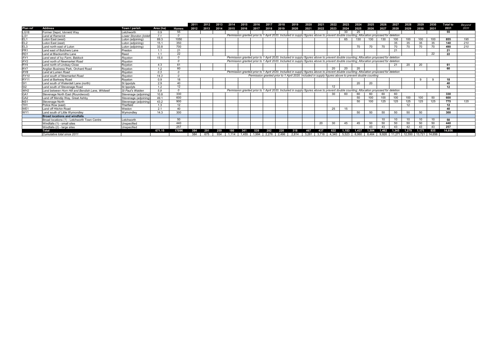|                   |                                                   |                       |           |                 | 2011 | 2012                                                                                                                                    | 2013 | 2014  | 2015  | 2016  | 2017  | 2018  | 2019                                                                                                                                    | 2020  | 2021  | 2022  | 2023  |       |       |       |           |                 |        | 2030   | <b>Total to</b> | Beyond |
|-------------------|---------------------------------------------------|-----------------------|-----------|-----------------|------|-----------------------------------------------------------------------------------------------------------------------------------------|------|-------|-------|-------|-------|-------|-----------------------------------------------------------------------------------------------------------------------------------------|-------|-------|-------|-------|-------|-------|-------|-----------|-----------------|--------|--------|-----------------|--------|
| Plan ref          | <b>Address</b>                                    | Town / parish         | Area (ha) | <b>Homes</b>    | 2012 | 2013                                                                                                                                    | 2014 | 2015  | 2016  | 2017  | 2018  | 2019  | 2020                                                                                                                                    | 2021  | 2022  | 2023  | 2024  | 2025  | 2026  | 2027  | 2028      | 2029            | 2030   | 2031   | 2031            | 2031   |
| <b>LG18</b>       | Former Depot. Icknield Wav                        | Letchworth            | 0.9       | 55              |      |                                                                                                                                         |      |       |       |       |       |       |                                                                                                                                         |       |       |       | 30    | 25    |       |       |           |                 |        |        | 55              |        |
| $\frac{LS1}{EL1}$ | <b>Land at Ramerick</b>                           | Lower Stondon (Ickle) | 71        |                 |      |                                                                                                                                         |      |       |       |       |       |       | Permission granted prior to 1 April 2020. Included in supply figures above to prevent double counting; Allocation proposed for deletion |       |       |       |       |       |       |       |           |                 |        |        |                 |        |
|                   | Luton East (west)                                 | Luton (adioining)     | 69.3      | 1050            |      |                                                                                                                                         |      |       |       |       |       |       |                                                                                                                                         |       |       |       | 65    | 130   | 130   | 130   |           |                 | 100    | 100    | 855             | 195    |
| EL <sub>2</sub>   | Luton East (east)                                 | Luton (adjoining)     | 15.1      | 350             |      |                                                                                                                                         |      |       |       |       |       |       |                                                                                                                                         |       |       |       |       |       |       |       | 35        | 35              | 35     | 35     | 140             | 210    |
| EL3               | Land north east of Luton                          | uton (adioining)      | 33.8      | 700             |      |                                                                                                                                         |      |       |       |       |       |       |                                                                                                                                         |       |       |       |       | 70    |       | 70    | 70        |                 | 70     |        | 490             | 210    |
| PR <sub>1</sub>   | Land east of Butchers Lane                        | Preston               |           | 21              |      |                                                                                                                                         |      |       |       |       |       |       |                                                                                                                                         |       |       |       |       |       |       |       | 21        |                 |        |        | 21              |        |
| RD <sub>1</sub>   | Land at Blacksmiths Lane                          | Reed                  |           | 22              |      |                                                                                                                                         |      |       |       |       |       |       |                                                                                                                                         |       |       |       |       |       |       |       |           |                 |        | 22     | 22              |        |
| RY1               | Land west of Ivy Farm, Baldock                    | Rovston               | 15.5      |                 |      |                                                                                                                                         |      |       |       |       |       |       | Permission granted prior to 1 April 2020. Included in supply figures above to prevent double counting; Allocation proposed for deletion |       |       |       |       |       |       |       |           |                 |        |        |                 |        |
| RY <sub>2</sub>   | Land north of Newmarket Road                      | Royston               |           | $\sqrt{2}$      |      |                                                                                                                                         |      |       |       |       |       |       | Permission granted prior to 1 April 2020. Included in supply figures above to prevent double counting; Allocation proposed for deletion |       |       |       |       |       |       |       |           |                 |        |        |                 |        |
| RY4               | Land north of Lindsay Close                       | Rovston               | 4.3       | 61              |      |                                                                                                                                         |      |       |       |       |       |       |                                                                                                                                         |       |       |       |       |       |       |       | 21        | 20              | 20     |        | 61              |        |
| RY7               | Anglian Business Park, Orchard Road               | Rovston               | 12        | 60              |      |                                                                                                                                         |      |       |       |       |       |       |                                                                                                                                         |       |       | -20   | -20   | 20    |       |       |           |                 |        |        | 60              |        |
| RY <sub>8</sub>   | Land at Lumen Road                                | Rovston               | 0.3       |                 |      | Permission granted prior to 1 April 2020. Included in supply figures above to prevent double counting; Allocation proposed for deletion |      |       |       |       |       |       |                                                                                                                                         |       |       |       |       |       |       |       |           |                 |        |        |                 |        |
| <b>RY10</b>       | Land south of Newmarket Road                      | Rovston               | 14.3      |                 |      |                                                                                                                                         |      |       |       |       |       |       | Permission granted prior to 1 April 2020. Included in supply figures above to prevent double counting                                   |       |       |       |       |       |       |       |           |                 |        |        |                 |        |
| <b>RY11</b>       | Land at Barkway Road                              | Rovston               | 0.9       | 18              |      |                                                                                                                                         |      |       |       |       |       |       |                                                                                                                                         |       |       |       |       |       |       |       |           |                 |        |        | 18              |        |
| SI <sub>1</sub>   | Land south of Waterdell Lane (north)              | St Ippolyts           | 2.9       | 40              |      |                                                                                                                                         |      |       |       |       |       |       |                                                                                                                                         |       |       |       |       | 20    | -20   |       |           |                 |        |        | 40              |        |
| SI2               | Land south of Stevenage Road                      | St Ippolyts           | 1.2       | 12 <sup>2</sup> |      |                                                                                                                                         |      |       |       |       |       |       |                                                                                                                                         |       |       | 12    |       |       |       |       |           |                 |        |        | 12              |        |
| WH2               | Land between Horn Hill and Bendish Lane, Whitwell | St Paul's Walden      | 59        |                 |      |                                                                                                                                         |      |       |       |       |       |       | Permission granted prior to 1 April 2020. Included in supply figures above to prevent double counting; Allocation proposed for deletion |       |       |       |       |       |       |       |           |                 |        |        |                 |        |
| GA <sub>1</sub>   | Stevenage North East (Roundwood)                  | Stevenage (adioining  | 10.8      | 330             |      |                                                                                                                                         |      |       |       |       |       |       |                                                                                                                                         |       |       | 30    | 60    | 60    | 60    | 60    | 60        |                 |        |        | 330             |        |
| GA <sub>2</sub>   | Land off Mendip Way, Great Ashby                  | Stevenage (adjoining  | 49.1      | 600             |      |                                                                                                                                         |      |       |       |       |       |       |                                                                                                                                         |       |       |       |       | 50    | 100   | 100   | 100       | 100             | 100    | 50     | 600             |        |
| NS <sub>1</sub>   | Stevenage North                                   | Stevenage (adioining  | 43.2      | 900             |      |                                                                                                                                         |      |       |       |       |       |       |                                                                                                                                         |       |       |       |       | 50    | 100   | 125   | 125       | 125             | 125    | 125    | 775             | 125    |
| TH <sub>1</sub>   | Police Row (east)                                 | Therfield             | 1.3       | 12 <sup>2</sup> |      |                                                                                                                                         |      |       |       |       |       |       |                                                                                                                                         |       |       |       |       |       |       |       |           | 12 <sub>1</sub> |        |        | 12              |        |
| WE1               | Land off Hitchin Road                             | Weston                | 21        | 40              |      |                                                                                                                                         |      |       |       |       |       |       |                                                                                                                                         |       |       | 25    | 15    |       |       |       |           |                 |        |        | 40              |        |
| WY1               | Land south of Little Wymondlev                    | Wymondley             | 14.3      | 300             |      |                                                                                                                                         |      |       |       |       |       |       |                                                                                                                                         |       |       |       |       | 50    | 50    | 50    | 50        | 50              | 50     |        | 300             |        |
|                   | <b>Broad locations and windfalls</b>              |                       |           |                 |      |                                                                                                                                         |      |       |       |       |       |       |                                                                                                                                         |       |       |       |       |       |       |       |           |                 |        |        |                 |        |
|                   | Broad locations (1) - Letchworth Town Centre      | _etchworth            |           | 50              |      |                                                                                                                                         |      |       |       |       |       |       |                                                                                                                                         |       |       |       |       |       |       | 10    | 10        |                 | 10     | 10     | 50              |        |
|                   | Windfalls (1) - small sites                       | Unspecified           |           | 440             |      |                                                                                                                                         |      |       |       |       |       |       |                                                                                                                                         |       | 20    | 30    | 45    | 45    | 50    | 50    | 50        | 50              | 50     | 50     | 440             |        |
|                   | Windfalls (2) - large sites                       | Unspecified           |           | 257             |      |                                                                                                                                         |      |       |       |       |       |       |                                                                                                                                         |       |       |       |       |       | 43    |       | $\Lambda$ |                 |        |        | 257             |        |
|                   | Total                                             |                       | 671.15    | 17096           | 384  | 291                                                                                                                                     | 259  |       |       |       |       | 220   | 318                                                                                                                                     | 467   | 437   | 622   | 1.183 | 1.437 |       | 1.462 | 1.345     | 1.279           |        | 935    | 14.656          |        |
|                   | Cumulative total since 2011                       |                       |           |                 | 384  | 675                                                                                                                                     | 934  | 1.114 | 1.455 | 1.994 | 2.276 | 2.496 | 2.814                                                                                                                                   | 3.281 | 3.718 | 4.340 | 5.523 | 6.960 | 8.464 | 9.926 | 11.271    | 12.550          | 13.721 | 14.656 |                 |        |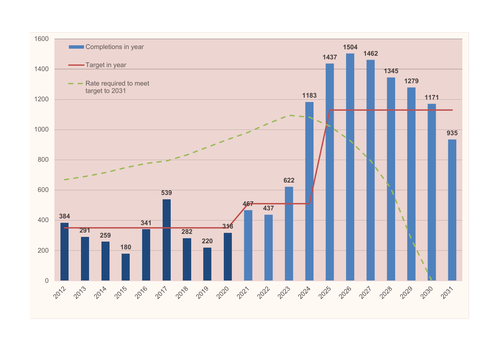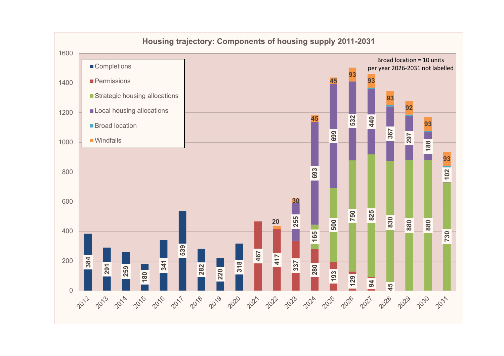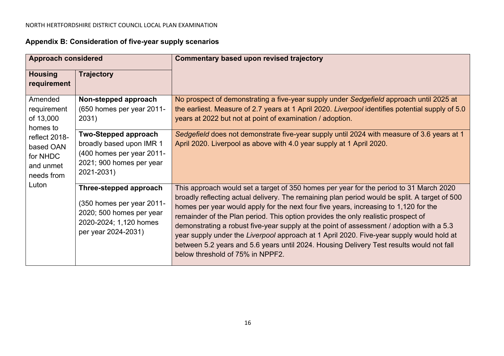# **Appendix B: Consideration of five-year supply scenarios**

| <b>Approach considered</b>                                                    |                                                                                                                                  | <b>Commentary based upon revised trajectory</b>                                                                                                                                                                                                                                                                                                                                                                                                                                                                                                                                                                                                                                              |
|-------------------------------------------------------------------------------|----------------------------------------------------------------------------------------------------------------------------------|----------------------------------------------------------------------------------------------------------------------------------------------------------------------------------------------------------------------------------------------------------------------------------------------------------------------------------------------------------------------------------------------------------------------------------------------------------------------------------------------------------------------------------------------------------------------------------------------------------------------------------------------------------------------------------------------|
| <b>Housing</b><br>requirement                                                 | <b>Trajectory</b>                                                                                                                |                                                                                                                                                                                                                                                                                                                                                                                                                                                                                                                                                                                                                                                                                              |
| Amended<br>requirement<br>of 13,000                                           | Non-stepped approach<br>(650 homes per year 2011-<br>2031)                                                                       | No prospect of demonstrating a five-year supply under Sedgefield approach until 2025 at<br>the earliest. Measure of 2.7 years at 1 April 2020. Liverpool identifies potential supply of 5.0<br>years at 2022 but not at point of examination / adoption.                                                                                                                                                                                                                                                                                                                                                                                                                                     |
| homes to<br>reflect 2018-<br>based OAN<br>for NHDC<br>and unmet<br>needs from | <b>Two-Stepped approach</b><br>broadly based upon IMR 1<br>(400 homes per year 2011-<br>2021; 900 homes per year<br>2021-2031)   | Sedgefield does not demonstrate five-year supply until 2024 with measure of 3.6 years at 1<br>April 2020. Liverpool as above with 4.0 year supply at 1 April 2020.                                                                                                                                                                                                                                                                                                                                                                                                                                                                                                                           |
| Luton                                                                         | Three-stepped approach<br>(350 homes per year 2011-<br>2020; 500 homes per year<br>2020-2024; 1,120 homes<br>per year 2024-2031) | This approach would set a target of 350 homes per year for the period to 31 March 2020<br>broadly reflecting actual delivery. The remaining plan period would be split. A target of 500<br>homes per year would apply for the next four five years, increasing to 1,120 for the<br>remainder of the Plan period. This option provides the only realistic prospect of<br>demonstrating a robust five-year supply at the point of assessment / adoption with a 5.3<br>year supply under the Liverpool approach at 1 April 2020. Five-year supply would hold at<br>between 5.2 years and 5.6 years until 2024. Housing Delivery Test results would not fall<br>below threshold of 75% in NPPF2. |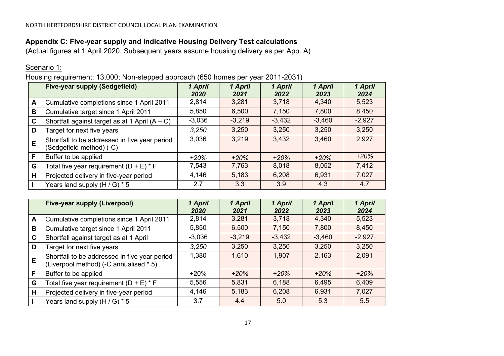### **Appendix C: Five-year supply and indicative Housing Delivery Test calculations**

(Actual figures at 1 April 2020. Subsequent years assume housing delivery as per App. A)

### Scenario 1:

Housing requirement: 13,000; Non-stepped approach (650 homes per year 2011-2031)

|   | <b>Five-year supply (Sedgefield)</b>                                      | 1 April<br>2020 | 1 April<br>2021 | 1 April<br>2022 | 1 April<br>2023 | 1 April<br>2024 |
|---|---------------------------------------------------------------------------|-----------------|-----------------|-----------------|-----------------|-----------------|
| А | Cumulative completions since 1 April 2011                                 | 2,814           | 3,281           | 3,718           | 4,340           | 5,523           |
| B | Cumulative target since 1 April 2011                                      | 5,850           | 6,500           | 7,150           | 7,800           | 8,450           |
| C | Shortfall against target as at 1 April $(A - C)$                          | $-3,036$        | $-3,219$        | $-3,432$        | $-3,460$        | $-2,927$        |
| D | Target for next five years                                                | 3,250           | 3,250           | 3,250           | 3,250           | 3,250           |
| E | Shortfall to be addressed in five year period<br>(Sedgefield method) (-C) | 3,036           | 3,219           | 3,432           | 3,460           | 2,927           |
| F | Buffer to be applied                                                      | $+20%$          | $+20%$          | $+20%$          | $+20%$          | $+20%$          |
| G | Total five year requirement $(D + E) * F$                                 | 7,543           | 7,763           | 8,018           | 8,052           | 7,412           |
| н | Projected delivery in five-year period                                    | 4,146           | 5,183           | 6,208           | 6,931           | 7,027           |
|   | Years land supply $(H/G) * 5$                                             | 2.7             | 3.3             | 3.9             | 4.3             | 4.7             |

|             | <b>Five-year supply (Liverpool)</b>                                                     | 1 April<br>2020 | 1 April<br>2021 | 1 April<br>2022 | 1 April<br>2023 | 1 April<br>2024 |
|-------------|-----------------------------------------------------------------------------------------|-----------------|-----------------|-----------------|-----------------|-----------------|
| A           | Cumulative completions since 1 April 2011                                               | 2,814           | 3,281           | 3,718           | 4,340           | 5,523           |
| B           | Cumulative target since 1 April 2011                                                    | 5,850           | 6,500           | 7,150           | 7,800           | 8,450           |
| $\mathbf C$ | Shortfall against target as at 1 April                                                  | $-3,036$        | $-3,219$        | $-3,432$        | $-3,460$        | $-2,927$        |
| D           | Target for next five years                                                              | 3,250           | 3,250           | 3,250           | 3,250           | 3,250           |
| E           | Shortfall to be addressed in five year period<br>(Liverpool method) (-C annualised * 5) | 1,380           | 1,610           | 1,907           | 2.163           | 2,091           |
| F           | Buffer to be applied                                                                    | $+20%$          | $+20%$          | $+20%$          | $+20%$          | $+20%$          |
| G           | Total five year requirement $(D + E) * F$                                               | 5,556           | 5,831           | 6,188           | 6,495           | 6,409           |
| H           | Projected delivery in five-year period                                                  | 4,146           | 5,183           | 6,208           | 6,931           | 7,027           |
|             | Years land supply $(H/G) * 5$                                                           | 3.7             | 4.4             | 5.0             | 5.3             | 5.5             |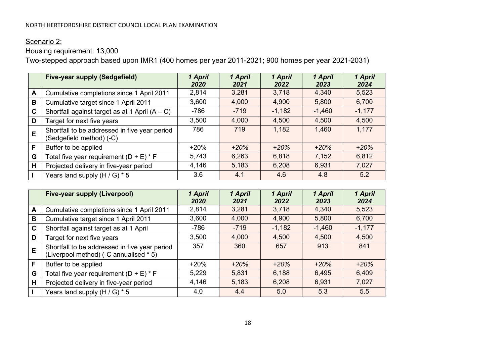# Scenario 2:

Housing requirement: 13,000

Two-stepped approach based upon IMR1 (400 homes per year 2011-2021; 900 homes per year 2021-2031)

|              | <b>Five-year supply (Sedgefield)</b>                                      | 1 April<br>2020 | 1 April<br>2021 | 1 April<br>2022 | 1 April<br>2023 | 1 April<br>2024 |
|--------------|---------------------------------------------------------------------------|-----------------|-----------------|-----------------|-----------------|-----------------|
| $\mathbf{A}$ | Cumulative completions since 1 April 2011                                 | 2,814           | 3,281           | 3,718           | 4,340           | 5,523           |
| B            | Cumulative target since 1 April 2011                                      | 3,600           | 4,000           | 4,900           | 5,800           | 6,700           |
| C            | Shortfall against target as at 1 April $(A - C)$                          | $-786$          | $-719$          | $-1,182$        | $-1,460$        | $-1,177$        |
| D            | Target for next five years                                                | 3,500           | 4,000           | 4,500           | 4,500           | 4,500           |
| E            | Shortfall to be addressed in five year period<br>(Sedgefield method) (-C) | 786             | 719             | 1,182           | 1,460           | 1,177           |
| F            | Buffer to be applied                                                      | $+20%$          | $+20%$          | $+20%$          | $+20%$          | $+20%$          |
| G            | Total five year requirement $(D + E) * F$                                 | 5,743           | 6,263           | 6,818           | 7,152           | 6,812           |
| H            | Projected delivery in five-year period                                    | 4,146           | 5,183           | 6,208           | 6,931           | 7,027           |
|              | Years land supply $(H/G) * 5$                                             | 3.6             | 4.1             | 4.6             | 4.8             | 5.2             |

|              | <b>Five-year supply (Liverpool)</b>                                                     | 1 April<br>2020 | 1 April<br>2021 | 1 April<br>2022 | 1 April<br>2023 | 1 April<br>2024 |
|--------------|-----------------------------------------------------------------------------------------|-----------------|-----------------|-----------------|-----------------|-----------------|
| $\mathbf{A}$ | Cumulative completions since 1 April 2011                                               | 2,814           | 3,281           | 3,718           | 4,340           | 5,523           |
| B            | Cumulative target since 1 April 2011                                                    | 3,600           | 4,000           | 4,900           | 5,800           | 6,700           |
| $\mathbf C$  | Shortfall against target as at 1 April                                                  | $-786$          | $-719$          | $-1,182$        | $-1,460$        | $-1,177$        |
| D            | Target for next five years                                                              | 3,500           | 4,000           | 4,500           | 4,500           | 4,500           |
| E            | Shortfall to be addressed in five year period<br>(Liverpool method) (-C annualised * 5) | 357             | 360             | 657             | 913             | 841             |
| F            | Buffer to be applied                                                                    | $+20%$          | $+20%$          | $+20%$          | $+20%$          | $+20%$          |
| G            | Total five year requirement $(D + E) * F$                                               | 5,229           | 5,831           | 6,188           | 6,495           | 6,409           |
| H            | Projected delivery in five-year period                                                  | 4,146           | 5,183           | 6,208           | 6,931           | 7,027           |
|              | Years land supply $(H/G) * 5$                                                           | 4.0             | 4.4             | 5.0             | 5.3             | 5.5             |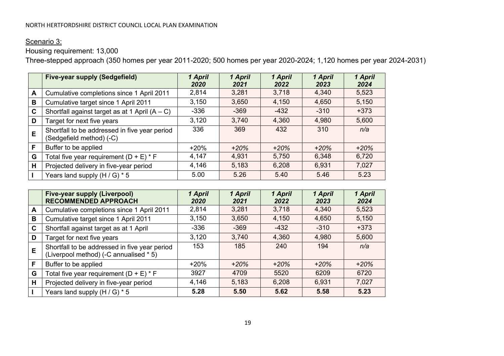#### Scenario 3:

Housing requirement: 13,000

Three-stepped approach (350 homes per year 2011-2020; 500 homes per year 2020-2024; 1,120 homes per year 2024-2031)

|              | <b>Five-year supply (Sedgefield)</b>                                      | 1 April<br>2020 | 1 April<br>2021 | 1 April<br>2022 | 1 April<br>2023 | 1 April<br>2024 |
|--------------|---------------------------------------------------------------------------|-----------------|-----------------|-----------------|-----------------|-----------------|
| $\mathsf{A}$ | Cumulative completions since 1 April 2011                                 | 2,814           | 3,281           | 3,718           | 4,340           | 5,523           |
| B            | Cumulative target since 1 April 2011                                      | 3,150           | 3,650           | 4,150           | 4,650           | 5,150           |
| C            | Shortfall against target as at 1 April $(A - C)$                          | $-336$          | $-369$          | -432            | $-310$          | $+373$          |
| D            | Target for next five years                                                | 3,120           | 3,740           | 4,360           | 4,980           | 5,600           |
| E            | Shortfall to be addressed in five year period<br>(Sedgefield method) (-C) | 336             | 369             | 432             | 310             | n/a             |
| F            | Buffer to be applied                                                      | $+20%$          | $+20%$          | $+20%$          | $+20%$          | $+20%$          |
| G            | Total five year requirement $(D + E) * F$                                 | 4,147           | 4,931           | 5,750           | 6,348           | 6,720           |
| Н            | Projected delivery in five-year period                                    | 4,146           | 5,183           | 6,208           | 6,931           | 7,027           |
|              | Years land supply $(H/G) * 5$                                             | 5.00            | 5.26            | 5.40            | 5.46            | 5.23            |

|   | <b>Five-year supply (Liverpool)</b><br><b>RECOMMENDED APPROACH</b>                      | 1 April<br>2020 | 1 April<br>2021 | 1 April<br>2022 | 1 April<br>2023 | 1 April<br>2024 |
|---|-----------------------------------------------------------------------------------------|-----------------|-----------------|-----------------|-----------------|-----------------|
| A | Cumulative completions since 1 April 2011                                               | 2,814           | 3,281           | 3,718           | 4,340           | 5,523           |
| B | Cumulative target since 1 April 2011                                                    | 3,150           | 3,650           | 4,150           | 4,650           | 5,150           |
| C | Shortfall against target as at 1 April                                                  | $-336$          | $-369$          | $-432$          | $-310$          | $+373$          |
| D | Target for next five years                                                              | 3,120           | 3,740           | 4,360           | 4,980           | 5,600           |
| E | Shortfall to be addressed in five year period<br>(Liverpool method) (-C annualised * 5) | 153             | 185             | 240             | 194             | n/a             |
| F | Buffer to be applied                                                                    | $+20%$          | $+20%$          | $+20%$          | $+20%$          | $+20%$          |
| G | Total five year requirement $(D + E) * F$                                               | 3927            | 4709            | 5520            | 6209            | 6720            |
| H | Projected delivery in five-year period                                                  | 4,146           | 5,183           | 6,208           | 6,931           | 7,027           |
|   | Years land supply $(H/G)$ * 5                                                           | 5.28            | 5.50            | 5.62            | 5.58            | 5.23            |